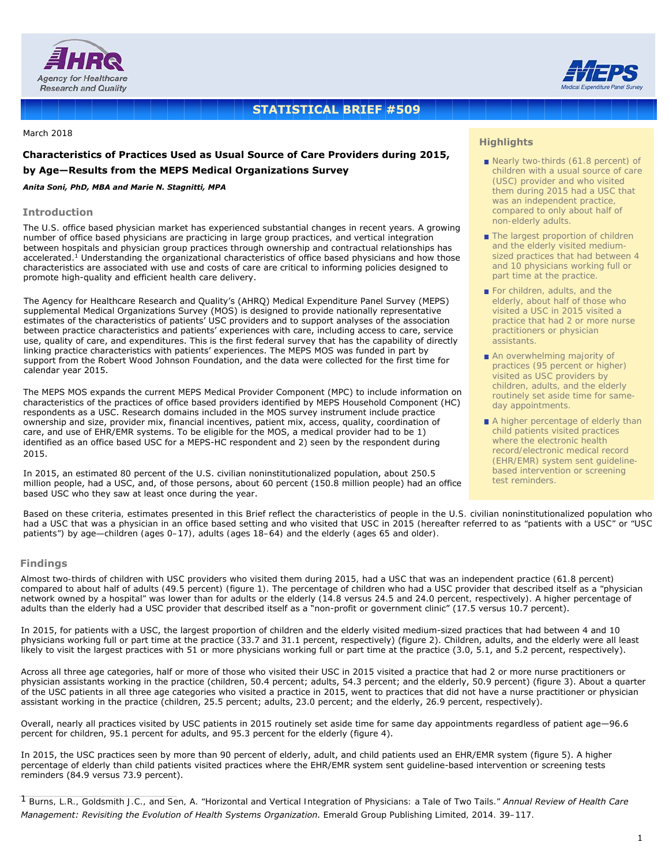



# **STATISTICAL BRIEF #509**

March 2018

# **Characteristics of Practices Used as Usual Source of Care Providers during 2015, by Age—Results from the MEPS Medical Organizations Survey**

#### *Anita Soni, PhD, MBA and Marie N. Stagnitti, MPA*

#### **Introduction**

The U.S. office based physician market has experienced substantial changes in recent years. A growing number of office based physicians are practicing in large group practices, and vertical integration between hospitals and physician group practices through ownership and contractual relationships has accelerated.<sup>1</sup> Understanding the organizational characteristics of office based physicians and how those characteristics are associated with use and costs of care are critical to informing policies designed to promote high-quality and efficient health care delivery.

The Agency for Healthcare Research and Quality's (AHRQ) Medical Expenditure Panel Survey (MEPS) supplemental Medical Organizations Survey (MOS) is designed to provide nationally representative estimates of the characteristics of patients' USC providers and to support analyses of the association between practice characteristics and patients' experiences with care, including access to care, service use, quality of care, and expenditures. This is the first federal survey that has the capability of directly linking practice characteristics with patients' experiences. The MEPS MOS was funded in part by support from the Robert Wood Johnson Foundation, and the data were collected for the first time for calendar year 2015.

The MEPS MOS expands the current MEPS Medical Provider Component (MPC) to include information on characteristics of the practices of office based providers identified by MEPS Household Component (HC) respondents as a USC. Research domains included in the MOS survey instrument include practice ownership and size, provider mix, financial incentives, patient mix, access, quality, coordination of care, and use of EHR/EMR systems. To be eligible for the MOS, a medical provider had to be 1) identified as an office based USC for a MEPS-HC respondent and 2) seen by the respondent during 2015.

In 2015, an estimated 80 percent of the U.S. civilian noninstitutionalized population, about 250.5 million people, had a USC, and, of those persons, about 60 percent (150.8 million people) had an office based USC who they saw at least once during the year.

## **Highlights**

- Nearly two-thirds (61.8 percent) of children with a usual source of care (USC) provider and who visited them during 2015 had a USC that was an independent practice, compared to only about half of non-elderly adults.
- The largest proportion of children and the elderly visited mediumsized practices that had between 4 and 10 physicians working full or part time at the practice.
- For children, adults, and the elderly, about half of those who visited a USC in 2015 visited a practice that had 2 or more nurse practitioners or physician assistants.
- An overwhelming majority of practices (95 percent or higher) visited as USC providers by children, adults, and the elderly routinely set aside time for sameday appointments.
- A higher percentage of elderly than child patients visited practices where the electronic health record/electronic medical record (EHR/EMR) system sent guidelinebased intervention or screening test reminders.

Based on these criteria, estimates presented in this Brief reflect the characteristics of people in the U.S. civilian noninstitutionalized population who had a USC that was a physician in an office based setting and who visited that USC in 2015 (hereafter referred to as "patients with a USC" or "USC patients") by age—children (ages 0–17), adults (ages 18–64) and the elderly (ages 65 and older).

#### **Findings**

Almost two-thirds of children with USC providers who visited them during 2015, had a USC that was an independent practice (61.8 percent) compared to about half of adults (49.5 percent) (figure 1). The percentage of children who had a USC provider that described itself as a "physician network owned by a hospital" was lower than for adults or the elderly (14.8 versus 24.5 and 24.0 percent, respectively). A higher percentage of adults than the elderly had a USC provider that described itself as a "non-profit or government clinic" (17.5 versus 10.7 percent).

In 2015, for patients with a USC, the largest proportion of children and the elderly visited medium-sized practices that had between 4 and 10 physicians working full or part time at the practice (33.7 and 31.1 percent, respectively) (figure 2). Children, adults, and the elderly were all least likely to visit the largest practices with 51 or more physicians working full or part time at the practice (3.0, 5.1, and 5.2 percent, respectively).

Across all three age categories, half or more of those who visited their USC in 2015 visited a practice that had 2 or more nurse practitioners or physician assistants working in the practice (children, 50.4 percent; adults, 54.3 percent; and the elderly, 50.9 percent) (figure 3). About a quarter of the USC patients in all three age categories who visited a practice in 2015, went to practices that did not have a nurse practitioner or physician assistant working in the practice (children, 25.5 percent; adults, 23.0 percent; and the elderly, 26.9 percent, respectively).

Overall, nearly all practices visited by USC patients in 2015 routinely set aside time for same day appointments regardless of patient age—96.6 percent for children, 95.1 percent for adults, and 95.3 percent for the elderly (figure 4).

In 2015, the USC practices seen by more than 90 percent of elderly, adult, and child patients used an EHR/EMR system (figure 5). A higher percentage of elderly than child patients visited practices where the EHR/EMR system sent guideline-based intervention or screening tests reminders (84.9 versus 73.9 percent).

1 Burns, L.R., Goldsmith J.C., and Sen, A. "Horizontal and Vertical Integration of Physicians: a Tale of Two Tails." *Annual Review of Health Care Management: Revisiting the Evolution of Health Systems Organization.* Emerald Group Publishing Limited, 2014. 39–117.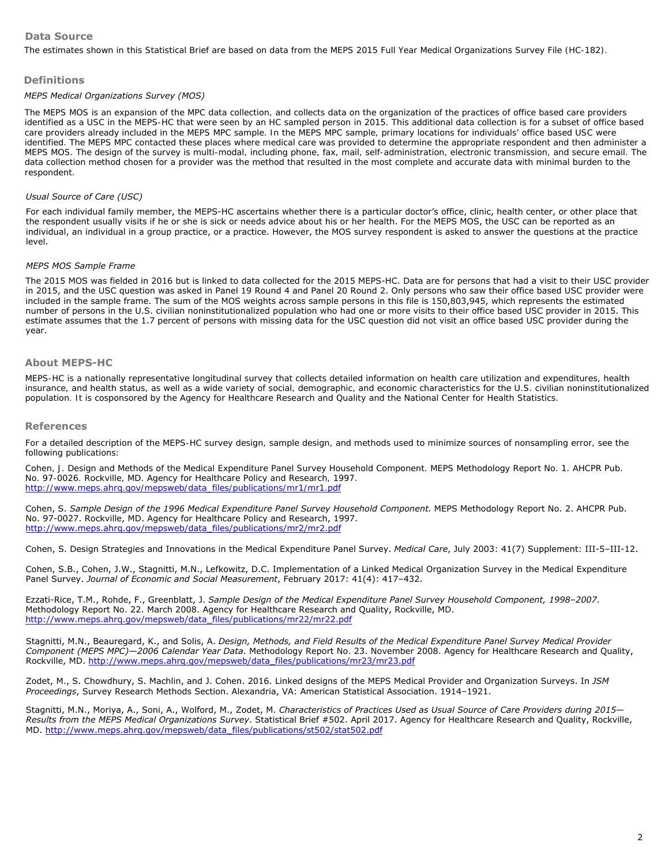# **Data Source**

The estimates shown in this Statistical Brief are based on data from the MEPS 2015 Full Year Medical Organizations Survey File (HC-182).

### **Definitions**

#### *MEPS Medical Organizations Survey (MOS)*

The MEPS MOS is an expansion of the MPC data collection, and collects data on the organization of the practices of office based care providers identified as a USC in the MEPS-HC that were seen by an HC sampled person in 2015. This additional data collection is for a subset of office based care providers already included in the MEPS MPC sample. In the MEPS MPC sample, primary locations for individuals' office based USC were identified. The MEPS MPC contacted these places where medical care was provided to determine the appropriate respondent and then administer a MEPS MOS. The design of the survey is multi-modal, including phone, fax, mail, self-administration, electronic transmission, and secure email. The data collection method chosen for a provider was the method that resulted in the most complete and accurate data with minimal burden to the respondent.

### *Usual Source of Care (USC)*

For each individual family member, the MEPS-HC ascertains whether there is a particular doctor's office, clinic, health center, or other place that the respondent usually visits if he or she is sick or needs advice about his or her health. For the MEPS MOS, the USC can be reported as an individual, an individual in a group practice, or a practice. However, the MOS survey respondent is asked to answer the questions at the practice level.

#### *MEPS MOS Sample Frame*

The 2015 MOS was fielded in 2016 but is linked to data collected for the 2015 MEPS-HC. Data are for persons that had a visit to their USC provider in 2015, and the USC question was asked in Panel 19 Round 4 and Panel 20 Round 2. Only persons who saw their office based USC provider were included in the sample frame. The sum of the MOS weights across sample persons in this file is 150,803,945, which represents the estimated number of persons in the U.S. civilian noninstitutionalized population who had one or more visits to their office based USC provider in 2015. This estimate assumes that the 1.7 percent of persons with missing data for the USC question did not visit an office based USC provider during the year.

#### **About MEPS-HC**

MEPS-HC is a nationally representative longitudinal survey that collects detailed information on health care utilization and expenditures, health insurance, and health status, as well as a wide variety of social, demographic, and economic characteristics for the U.S. civilian noninstitutionalized population. It is cosponsored by the Agency for Healthcare Research and Quality and the National Center for Health Statistics.

#### **References**

For a detailed description of the MEPS-HC survey design, sample design, and methods used to minimize sources of nonsampling error, see the following publications:

Cohen, J. *Design and Methods of the Medical Expenditure Panel Survey Household Component*. MEPS Methodology Report No. 1. AHCPR Pub. No. 97-0026. Rockville, MD. Agency for Healthcare Policy and Research, 1997. [http://www.meps.ahrq.gov/mepsweb/data\\_files/publications/mr1/mr1.](http://www.meps.ahrq.gov/mepsweb/data_files/publications/mr1/mr1.pdf)pdf

Cohen, S. *Sample Design of the 1996 Medical Expenditure Panel Survey Household Component.* MEPS Methodology Report No. 2. AHCPR Pub. No. 97-0027. Rockville, MD. Agency for Healthcare Policy and Research, 1997. [http://www.meps.ahrq.gov/mepsweb/data\\_files/publications/mr2/mr2.pdf](http://www.meps.ahrq.gov/mepsweb/data_files/publications/mr2/mr2.pdf)

Cohen, S. Design Strategies and Innovations in the Medical Expenditure Panel Survey. *Medical Care*, July 2003: 41(7) Supplement: III-5–III-12.

Cohen, S.B., Cohen, J.W., Stagnitti, M.N., Lefkowitz, D.C. Implementation of a Linked Medical Organization Survey in the Medical Expenditure Panel Survey. *Journal of Economic and Social Measurement*, February 2017: 41(4): 417–432.

Ezzati-Rice, T.M., Rohde, F., Greenblatt, J. *Sample Design of the Medical Expenditure Panel Survey Household Component, 1998–2007*. Methodology Report No. 22. March 2008. Agency for Healthcare Research and Quality, Rockville, MD. [http://www.meps.ahrq.gov/mepsweb/data\\_files/publications/mr22/mr22.pdf](http://www.meps.ahrq.gov/mepsweb/data_files/publications/mr22/mr22.pdf)

Stagnitti, M.N., Beauregard, K., and Solis, A. *Design, Methods, and Field Results of the Medical Expenditure Panel Survey Medical Provider Component (MEPS MPC)—2006 Calendar Year Data*. Methodology Report No. 23. November 2008. Agency for Healthcare Research and Quality, Rockville, MD. [http://www.meps.ahrq.gov/mepsweb/data\\_files/publications/mr23/mr23.pdf](http://www.meps.ahrq.gov/mepsweb/data_files/publications/mr23/mr23.pdf)

Zodet, M., S. Chowdhury, S. Machlin, and J. Cohen. 2016. Linked designs of the MEPS Medical Provider and Organization Surveys. In *JSM Proceedings*, Survey Research Methods Section. Alexandria, VA: American Statistical Association. 1914–1921.

Stagnitti, M.N., Moriya, A., Soni, A., Wolford, M., Zodet, M. *Characteristics of Practices Used as Usual Source of Care Providers during 2015*— *Results from the MEPS Medical Organizations Survey*. Statistical Brief #502. April 2017. Agency for Healthcare Research and Quality, Rockville, MD. [http://www.meps.ahrq.gov/mepsweb/data\\_files/publications/st502/stat502.pdf](http://www.meps.ahrq.gov/mepsweb/data_files/publications/st502/stat502.pdf)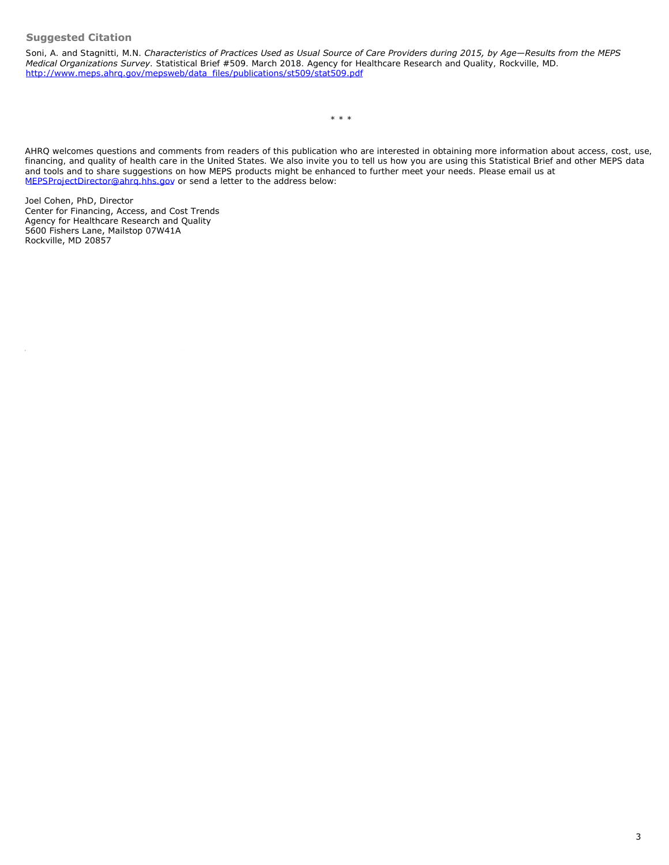# **Suggested Citation**

Soni, A. and Stagnitti, M.N. *Characteristics of Practices Used as Usual Source of Care Providers during 2015, by Age—Results from the MEPS Medical Organizations Survey*. Statistical Brief #509. March 2018. Agency for Healthcare Research and Quality, Rockville, MD. [http://www.meps.ahrq.gov/mepsweb/data\\_files/publications/st509/stat509.pdf](/mepsweb/data_files/publications/st509/stat509.pdf)

\* \* \*

AHRQ welcomes questions and comments from readers of this publication who are interested in obtaining more information about access, cost, use, financing, and quality of health care in the United States. We also invite you to tell us how you are using this Statistical Brief and other MEPS data and tools and to share suggestions on how MEPS products might be enhanced to further meet your needs. Please email us at [MEPSProjectDirector@ahrq.hhs.gov](mailto:MEPSProjectDirector@ahrq.hhs.gov) or send a letter to the address below:

Joel Cohen, PhD, Director Center for Financing, Access, and Cost Trends Agency for Healthcare Research and Quality 5600 Fishers Lane, Mailstop 07W41A Rockville, MD 20857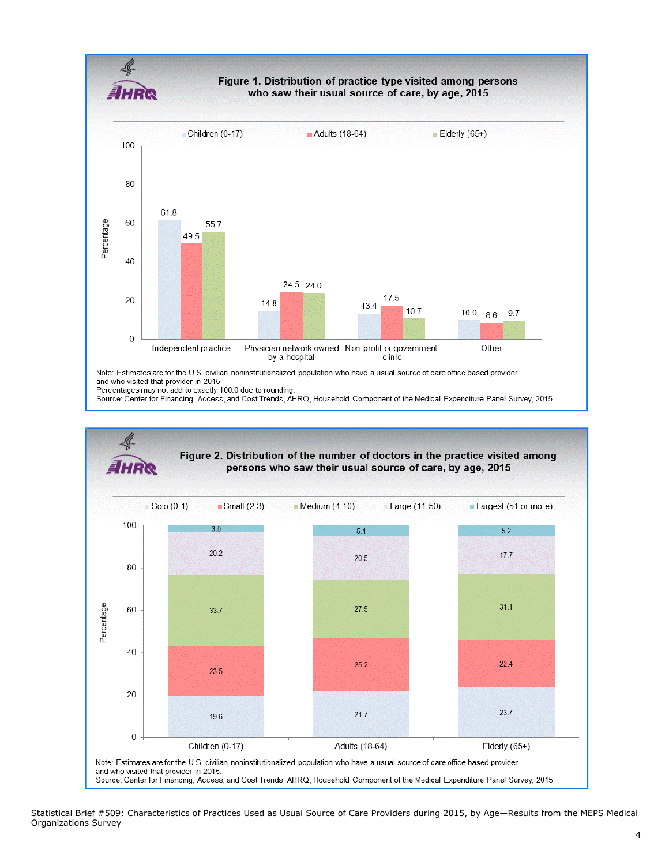Figure 1. Distribution of practice type visited among persons who saw their usual source of care, by age, 2015



Note: Estimates are for the U.S. civilian noninstitutionalized population who have a usual source of care office based provider and who visited that provider in 2015. Percentages may not add to exactly 100.0 due to rounding.

Source: Center for Financing, Access, and Cost Trends, AHRQ, Household Component of the Medical Expenditure Panel Survey, 2015.



Statistical Brief #509: Characteristics of Practices Used as Usual Source of Care Providers during 2015, by Age—Results from the MEPS Medical Organizations Survey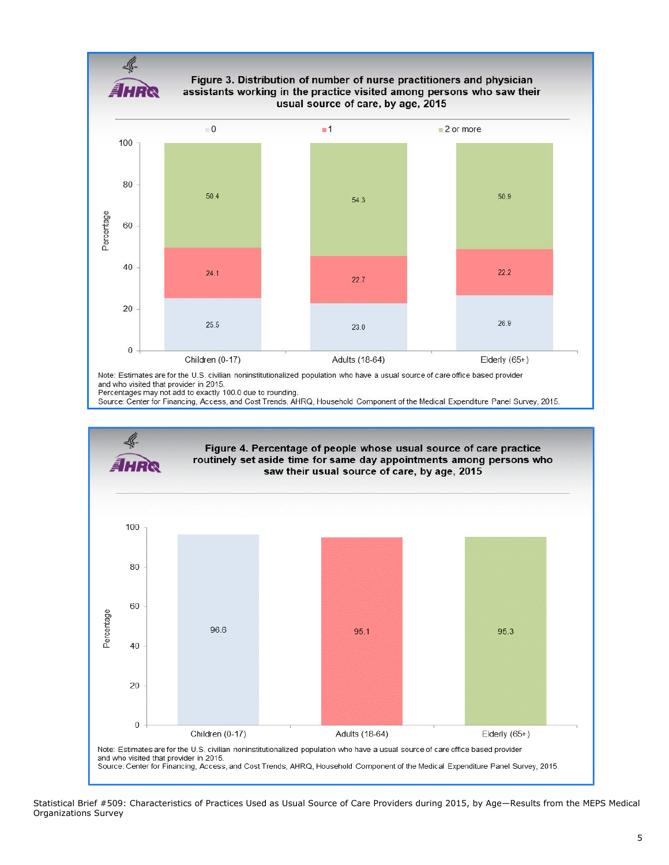

Figure 3. Distribution of number of nurse practitioners and physician assistants working in the practice visited among persons who saw their usual source of care, by age, 2015



and who visited that provider in 2015. Percentages may not add to exactly 100.0 due to rounding.





Statistical Brief #509: Characteristics of Practices Used as Usual Source of Care Providers during 2015, by Age—Results from the MEPS Medical Organizations Survey